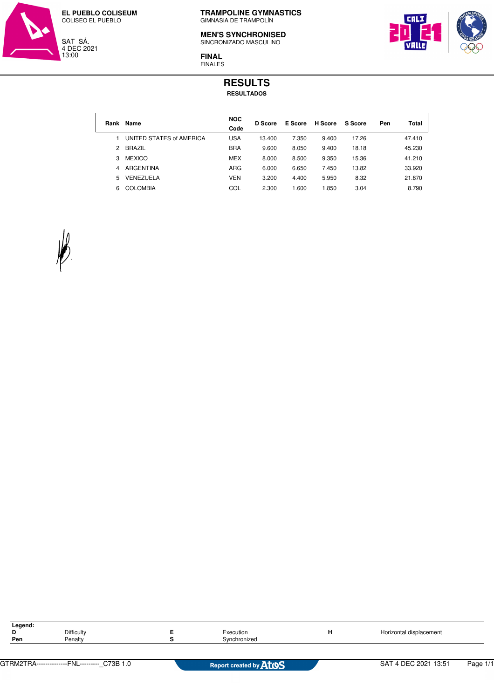

## **MEN'S SYNCHRONISED**

SINCRONIZADO MASCULINO



**FINAL** FINALES

## **RESULTS RESULTADOS**

| Rank | Name                     | <b>NOC</b><br>Code | <b>D</b> Score | E Score | <b>H</b> Score | <b>S</b> Score | Pen | Total  |
|------|--------------------------|--------------------|----------------|---------|----------------|----------------|-----|--------|
|      | UNITED STATES of AMERICA | <b>USA</b>         | 13.400         | 7.350   | 9.400          | 17.26          |     | 47.410 |
| 2    | <b>BRAZIL</b>            | <b>BRA</b>         | 9.600          | 8.050   | 9.400          | 18.18          |     | 45.230 |
| 3    | <b>MEXICO</b>            | <b>MEX</b>         | 8.000          | 8.500   | 9.350          | 15.36          |     | 41.210 |
| 4    | ARGENTINA                | ARG                | 6.000          | 6.650   | 7.450          | 13.82          |     | 33.920 |
| 5    | VENEZUELA                | <b>VEN</b>         | 3.200          | 4.400   | 5.950          | 8.32           |     | 21.870 |
| 6    | <b>COLOMBIA</b>          | COL                | 2.300          | 1.600   | 1.850          | 3.04           |     | 8.790  |
|      |                          |                    |                |         |                |                |     |        |



| Legend: |                   |              |                         |
|---------|-------------------|--------------|-------------------------|
|         | <b>Difficulty</b> | Execution    | Horizontal displacement |
| Pen     | Penalty           | Svnchronized |                         |